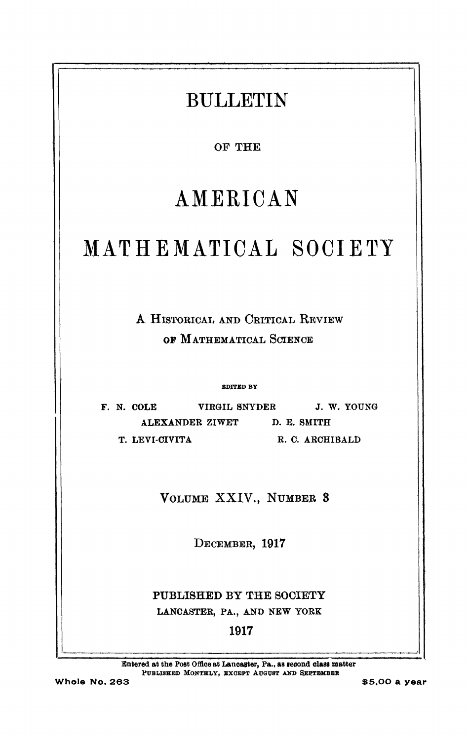## **BULLETIN** OF THE AMERICAN MATHEMATICAL SOCIETY A HISTORICAL AND CRITICAL REVIEW OF MATHEMATICAL SCIENCE **EDITED BY** VIRGIL SNYDER J. W. YOUNG F. N. COLE ALEXANDER ZIWET D. E. SMITH T. LEVI-CIVITA R. C. ARCHIBALD VOLUME XXIV., NUMBER 3 DECEMBER, 1917 PUBLISHED BY THE SOCIETY LANCASTER, PA., AND NEW YORK 1917